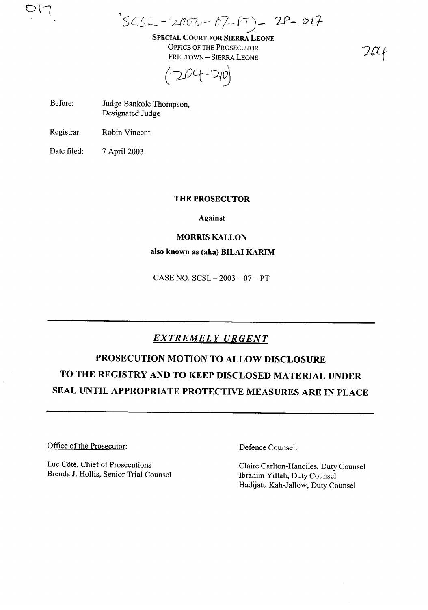$^{\circ}$  SCSL - 2003. - 07- $P$ T) - 2P - 017

SPECIAL COURT FOR SIERRA LEONE OFFICE OF THE PROSECUTOR FREETOWN - SIERRA LEONE

 $204 - 210$ 

Before: Judge Bankole Thompson, Designated Judge

Registrar: Robin Vincent

 $O(1)$ 

Date filed: 7 April 2003

### THE PROSECUTOR

Against

### MORRIS KALLON

### also known as (aka) BILAI KARIM

 $CASE NO. SCSL - 2003 - 07 - PT$ 

## *EXTREMELY URGENT*

# PROSECUTION MOTION TO ALLOW DISCLOSURE TO THE REGISTRY AND TO KEEP DISCLOSED MATERIAL UNDER SEAL UNTIL APPROPRIATE PROTECTIVE MEASURES ARE IN PLACE

Office of the Prosecutor:

Luc Côté, Chief of Prosecutions Brenda J. Hollis, Senior Trial Counsel Defence Counsel:

Claire Carlton-Hanciles, Duty Counsel Ibrahim Yillah, Duty Counsel Hadijatu Kah-Jallow, Duty Counsel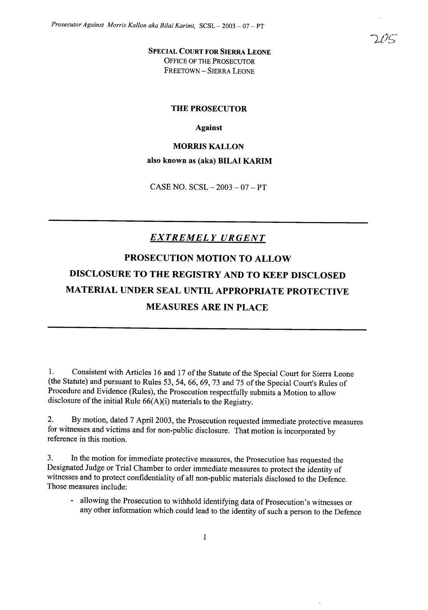SPECIAL COURT FOR SIERRA LEONE OFFICE OF THE PROSECUTOR FREETOWN - SIERRA LEONE

#### THE PROSECUTOR

#### Against

### MORRIS KALLON

#### also known as (aka) BILAI KARIM

CASE NO.  $SCSL - 2003 - 07 - PT$ 

### *EXTREMELY URGENT*

# PROSECUTION MOTION TO ALLOW DISCLOSURE TO THE REGISTRY AND TO KEEP DISCLOSED MATERIAL UNDER SEAL UNTIL APPROPRIATE PROTECTIVE MEASURES ARE IN PLACE

1. Consistent with Articles 16 and 17 of the Statute of the Special Court for Sierra Leone (the Statute) and pursuant to Rules 53, 54, 66, 69, 73 and 75 of the Special Court's Rules of Procedure and Evidence (Rules), the Prosecution respectfully submits a Motion to allow disclosure of the initial Rule  $66(A)(i)$  materials to the Registry.

2. By motion, dated 7 April 2003, the Prosecution requested immediate protective measures for witnesses and victims and for non-public disclosure. That motion is incorporated by reference in this motion.

3. In the motion for immediate protective measures, the Prosecution has requested the Designated Judge or Trial Chamber to order immediate measures to protect the identity of witnesses and to protect confidentiality of all non-public materials disclosed to the Defence. Those measures include:

allowing the Prosecution to withhold identifying data of Prosecution's witnesses or any other information which could lead to the identity of such a person to the Defence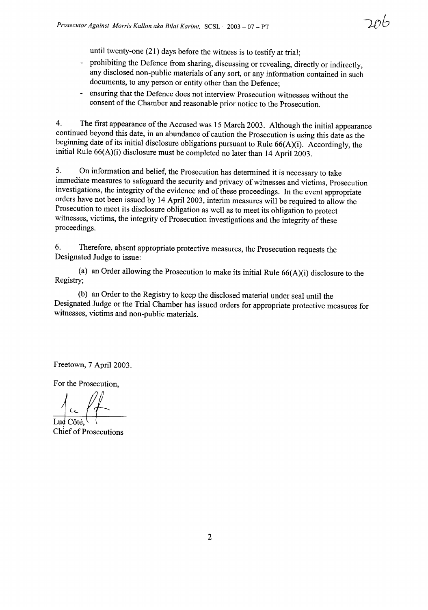until twenty-one (21) days before the witness is to testify at trial;

- prohibiting the Defence from sharing, discussing or revealing, directly or indirectly, any disclosed non-public materials of any sort, or any information contained in such documents, to any person or entity other than the Defence;
- ensuring that the Defence does not interview Prosecution witnesses without the consent of the Chamber and reasonable prior notice to the Prosecution.

4. The first appearance of the Accused was 15 March 2003. Although the initial appearance continued beyond this date, in an abundance of caution the Prosecution is using this date as the beginning date of its initial disclosure obligations pursuant to Rule  $66(A)(i)$ . Accordingly, the initial Rule 66(A)(i) disclosure must be completed no later than 14 April 2003.

5. On information and belief, the Prosecution has determined it is necessary to take immediate measures to safeguard the security and privacy of witnesses and victims, Prosecution investigations, the integrity of the evidence and of these proceedings. In the event appropriate orders have not been issued by 14 April 2003, interim measures will be required to allow the Prosecution to meet its disclosure obligation as well as to meet its obligation to protect witnesses, victims, the integrity of Prosecution investigations and the integrity of these proceedings.

6. Therefore, absent appropriate protective measures, the Prosecution requests the Designated Judge to issue:

(a) an Order allowing the Prosecution to make its initial Rule  $66(A)(i)$  disclosure to the Registry;

(b) an Order to the Registry to keep the disclosed material under seal until the Designated Judge or the Trial Chamber has issued orders for appropriate protective measures for witnesses, victims and non-public materials.

Freetown, 7 April 2003.

For the Prosecution,

 $\frac{1}{2}$ 

**Chief of Prosecutions**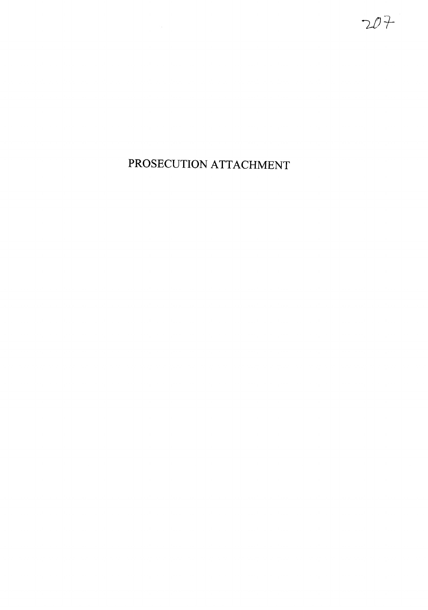PROSECUTION ATTACHMENT

 $207$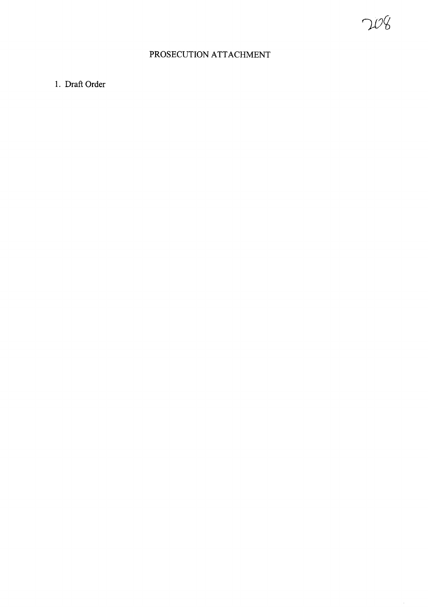## PROSECUTION ATTACHMENT

## 1. Draft Order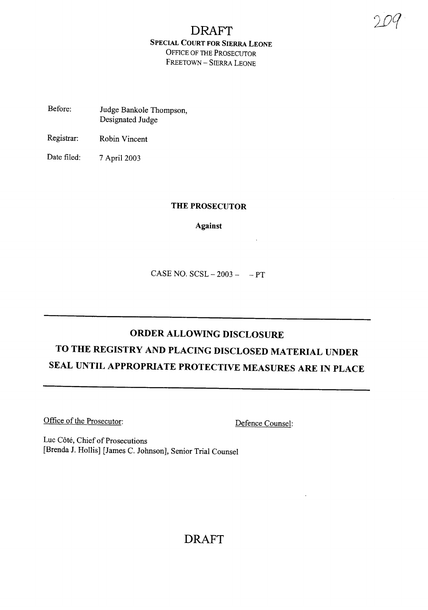## DRAFT SPECIAL COURT FOR SIERRA LEONE OFFICE OF THE PROSECUTOR FREETOWN - SIERRA LEONE

- Before: Judge Bankole Thompson, Designated Judge
- Registrar: Robin Vincent
- Date filed: 7 April 2003

### THE PROSECUTOR

Against

CASE NO.  $SCSL - 2003 - - PT$ 

# ORDER ALLOWING DISCLOSURE TO THE REGISTRY AND PLACING DISCLOSED MATERIAL UNDER SEAL UNTIL APPROPRIATE PROTECTIVE MEASURES ARE IN PLACE

Office of the Prosecutor: Defence Counsel:

 $\overline{\phantom{a}}$ 

Luc Côté, Chief of Prosecutions [Brenda J. Hollis] [James C. Johnson], Senior Trial Counsel

## DRAFT